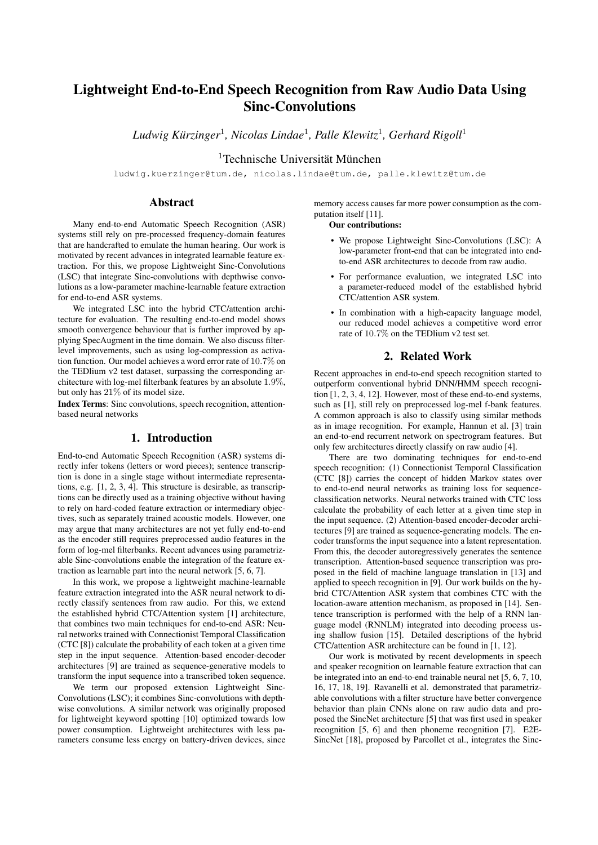# Lightweight End-to-End Speech Recognition from Raw Audio Data Using Sinc-Convolutions

 $Ludwig$  Kürzinger<sup>1</sup>, Nicolas Lindae<sup>1</sup>, Palle Klewitz<sup>1</sup>, Gerhard Rigoll<sup>1</sup>

 $1$ Technische Universität München

ludwig.kuerzinger@tum.de, nicolas.lindae@tum.de, palle.klewitz@tum.de

## Abstract

Many end-to-end Automatic Speech Recognition (ASR) systems still rely on pre-processed frequency-domain features that are handcrafted to emulate the human hearing. Our work is motivated by recent advances in integrated learnable feature extraction. For this, we propose Lightweight Sinc-Convolutions (LSC) that integrate Sinc-convolutions with depthwise convolutions as a low-parameter machine-learnable feature extraction for end-to-end ASR systems.

We integrated LSC into the hybrid CTC/attention architecture for evaluation. The resulting end-to-end model shows smooth convergence behaviour that is further improved by applying SpecAugment in the time domain. We also discuss filterlevel improvements, such as using log-compression as activation function. Our model achieves a word error rate of 10.7% on the TEDlium v2 test dataset, surpassing the corresponding architecture with log-mel filterbank features by an absolute 1.9%, but only has 21% of its model size.

Index Terms: Sinc convolutions, speech recognition, attentionbased neural networks

## 1. Introduction

End-to-end Automatic Speech Recognition (ASR) systems directly infer tokens (letters or word pieces); sentence transcription is done in a single stage without intermediate representations, e.g. [1, 2, 3, 4]. This structure is desirable, as transcriptions can be directly used as a training objective without having to rely on hard-coded feature extraction or intermediary objectives, such as separately trained acoustic models. However, one may argue that many architectures are not yet fully end-to-end as the encoder still requires preprocessed audio features in the form of log-mel filterbanks. Recent advances using parametrizable Sinc-convolutions enable the integration of the feature extraction as learnable part into the neural network [5, 6, 7].

In this work, we propose a lightweight machine-learnable feature extraction integrated into the ASR neural network to directly classify sentences from raw audio. For this, we extend the established hybrid CTC/Attention system [1] architecture, that combines two main techniques for end-to-end ASR: Neural networks trained with Connectionist Temporal Classification (CTC [8]) calculate the probability of each token at a given time step in the input sequence. Attention-based encoder-decoder architectures [9] are trained as sequence-generative models to transform the input sequence into a transcribed token sequence.

We term our proposed extension Lightweight Sinc-Convolutions (LSC); it combines Sinc-convolutions with depthwise convolutions. A similar network was originally proposed for lightweight keyword spotting [10] optimized towards low power consumption. Lightweight architectures with less parameters consume less energy on battery-driven devices, since memory access causes far more power consumption as the computation itself [11].

Our contributions:

- We propose Lightweight Sinc-Convolutions (LSC): A low-parameter front-end that can be integrated into endto-end ASR architectures to decode from raw audio.
- For performance evaluation, we integrated LSC into a parameter-reduced model of the established hybrid CTC/attention ASR system.
- In combination with a high-capacity language model, our reduced model achieves a competitive word error rate of 10.7% on the TEDlium v2 test set.

## 2. Related Work

Recent approaches in end-to-end speech recognition started to outperform conventional hybrid DNN/HMM speech recognition [1, 2, 3, 4, 12]. However, most of these end-to-end systems, such as [1], still rely on preprocessed log-mel f-bank features. A common approach is also to classify using similar methods as in image recognition. For example, Hannun et al. [3] train an end-to-end recurrent network on spectrogram features. But only few architectures directly classify on raw audio [4].

There are two dominating techniques for end-to-end speech recognition: (1) Connectionist Temporal Classification (CTC [8]) carries the concept of hidden Markov states over to end-to-end neural networks as training loss for sequenceclassification networks. Neural networks trained with CTC loss calculate the probability of each letter at a given time step in the input sequence. (2) Attention-based encoder-decoder architectures [9] are trained as sequence-generating models. The encoder transforms the input sequence into a latent representation. From this, the decoder autoregressively generates the sentence transcription. Attention-based sequence transcription was proposed in the field of machine language translation in [13] and applied to speech recognition in [9]. Our work builds on the hybrid CTC/Attention ASR system that combines CTC with the location-aware attention mechanism, as proposed in [14]. Sentence transcription is performed with the help of a RNN language model (RNNLM) integrated into decoding process using shallow fusion [15]. Detailed descriptions of the hybrid CTC/attention ASR architecture can be found in [1, 12].

Our work is motivated by recent developments in speech and speaker recognition on learnable feature extraction that can be integrated into an end-to-end trainable neural net [5, 6, 7, 10, 16, 17, 18, 19]. Ravanelli et al. demonstrated that parametrizable convolutions with a filter structure have better convergence behavior than plain CNNs alone on raw audio data and proposed the SincNet architecture [5] that was first used in speaker recognition [5, 6] and then phoneme recognition [7]. E2E-SincNet [18], proposed by Parcollet et al., integrates the Sinc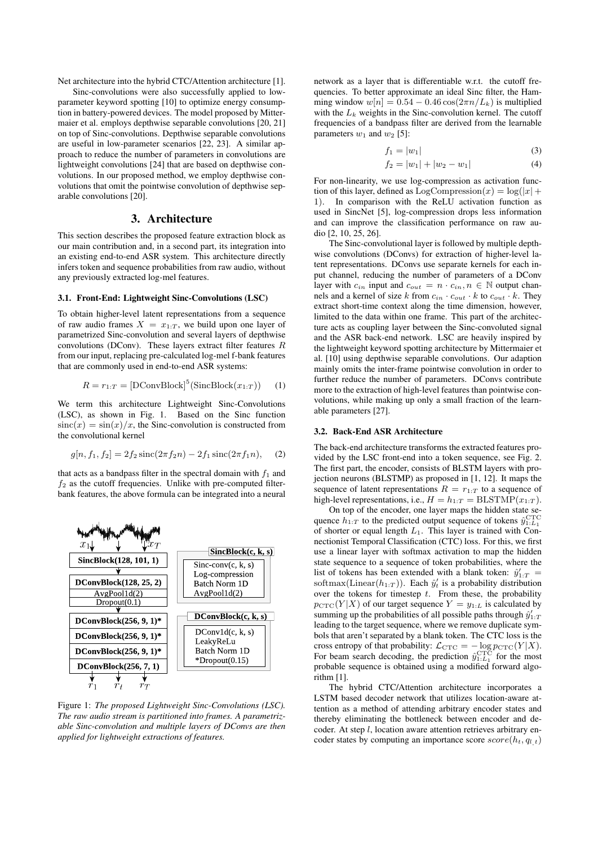Net architecture into the hybrid CTC/Attention architecture [1].

Sinc-convolutions were also successfully applied to lowparameter keyword spotting [10] to optimize energy consumption in battery-powered devices. The model proposed by Mittermaier et al. employs depthwise separable convolutions [20, 21] on top of Sinc-convolutions. Depthwise separable convolutions are useful in low-parameter scenarios [22, 23]. A similar approach to reduce the number of parameters in convolutions are lightweight convolutions [24] that are based on depthwise convolutions. In our proposed method, we employ depthwise convolutions that omit the pointwise convolution of depthwise separable convolutions [20].

## 3. Architecture

This section describes the proposed feature extraction block as our main contribution and, in a second part, its integration into an existing end-to-end ASR system. This architecture directly infers token and sequence probabilities from raw audio, without any previously extracted log-mel features.

#### 3.1. Front-End: Lightweight Sinc-Convolutions (LSC)

To obtain higher-level latent representations from a sequence of raw audio frames  $X = x_{1:T}$ , we build upon one layer of parametrized Sinc-convolution and several layers of depthwise convolutions (DConv). These layers extract filter features  $R$ from our input, replacing pre-calculated log-mel f-bank features that are commonly used in end-to-end ASR systems:

$$
R = r_{1:T} = [DConvBlock]^5(\text{SincBlock}(x_{1:T})) \quad (1)
$$

We term this architecture Lightweight Sinc-Convolutions (LSC), as shown in Fig. 1. Based on the Sinc function  $sinc(x) = sin(x)/x$ , the Sinc-convolution is constructed from the convolutional kernel

$$
g[n, f_1, f_2] = 2f_2 \operatorname{sinc}(2\pi f_2 n) - 2f_1 \operatorname{sinc}(2\pi f_1 n), \quad (2)
$$

that acts as a bandpass filter in the spectral domain with  $f_1$  and  $f_2$  as the cutoff frequencies. Unlike with pre-computed filterbank features, the above formula can be integrated into a neural



Figure 1: *The proposed Lightweight Sinc-Convolutions (LSC). The raw audio stream is partitioned into frames. A parametrizable Sinc-convolution and multiple layers of DConvs are then applied for lightweight extractions of features.*

network as a layer that is differentiable w.r.t. the cutoff frequencies. To better approximate an ideal Sinc filter, the Hamming window  $w[n] = 0.54 - 0.46 \cos(2\pi n/L_k)$  is multiplied with the  $L_k$  weights in the Sinc-convolution kernel. The cutoff frequencies of a bandpass filter are derived from the learnable parameters  $w_1$  and  $w_2$  [5]:

$$
f_1 = |w_1| \tag{3}
$$

$$
f_2 = |w_1| + |w_2 - w_1| \tag{4}
$$

For non-linearity, we use log-compression as activation function of this layer, defined as  $LogComparison(x) = log(|x| +$ 1). In comparison with the ReLU activation function as used in SincNet [5], log-compression drops less information and can improve the classification performance on raw audio [2, 10, 25, 26].

The Sinc-convolutional layer is followed by multiple depthwise convolutions (DConvs) for extraction of higher-level latent representations. DConvs use separate kernels for each input channel, reducing the number of parameters of a DConv layer with  $c_{in}$  input and  $c_{out} = n \cdot c_{in}, n \in \mathbb{N}$  output channels and a kernel of size k from  $c_{in} \cdot c_{out} \cdot k$  to  $c_{out} \cdot k$ . They extract short-time context along the time dimension, however, limited to the data within one frame. This part of the architecture acts as coupling layer between the Sinc-convoluted signal and the ASR back-end network. LSC are heavily inspired by the lightweight keyword spotting architecture by Mittermaier et al. [10] using depthwise separable convolutions. Our adaption mainly omits the inter-frame pointwise convolution in order to further reduce the number of parameters. DConvs contribute more to the extraction of high-level features than pointwise convolutions, while making up only a small fraction of the learnable parameters [27].

#### 3.2. Back-End ASR Architecture

The back-end architecture transforms the extracted features provided by the LSC front-end into a token sequence, see Fig. 2. The first part, the encoder, consists of BLSTM layers with projection neurons (BLSTMP) as proposed in [1, 12]. It maps the sequence of latent representations  $R = r_{1:T}$  to a sequence of high-level representations, i.e.,  $H = h_{1:T} = \text{BLSTMP}(x_{1:T}).$ 

On top of the encoder, one layer maps the hidden state sequence  $h_{1:T}$  to the predicted output sequence of tokens  $\hat{y}_{1:L_1}^{\text{CTC}}$ of shorter or equal length  $L_1$ . This layer is trained with Connectionist Temporal Classification (CTC) loss. For this, we first use a linear layer with softmax activation to map the hidden state sequence to a sequence of token probabilities, where the list of tokens has been extended with a blank token:  $\hat{y}'_{1:T}$ softmax(Linear( $h_{1:T}$ )). Each  $\hat{y}'_t$  is a probability distribution over the tokens for timestep  $t$ . From these, the probability  $p_{\text{CTC}}(Y | X)$  of our target sequence  $Y = y_{1:L}$  is calculated by summing up the probabilities of all possible paths through  $\hat{y}'_{1:T}$ leading to the target sequence, where we remove duplicate symbols that aren't separated by a blank token. The CTC loss is the cross entropy of that probability:  $\mathcal{L}_{\text{CTC}} = -\log p_{\text{CTC}}(Y|X)$ . For beam search decoding, the prediction  $\hat{y}_{1:L_1}^{\text{CTC}}$  for the most probable sequence is obtained using a modified forward algorithm [1].

The hybrid CTC/Attention architecture incorporates a LSTM based decoder network that utilizes location-aware attention as a method of attending arbitrary encoder states and thereby eliminating the bottleneck between encoder and decoder. At step  $l$ , location aware attention retrieves arbitrary encoder states by computing an importance score  $score(h_t, q_{t,t})$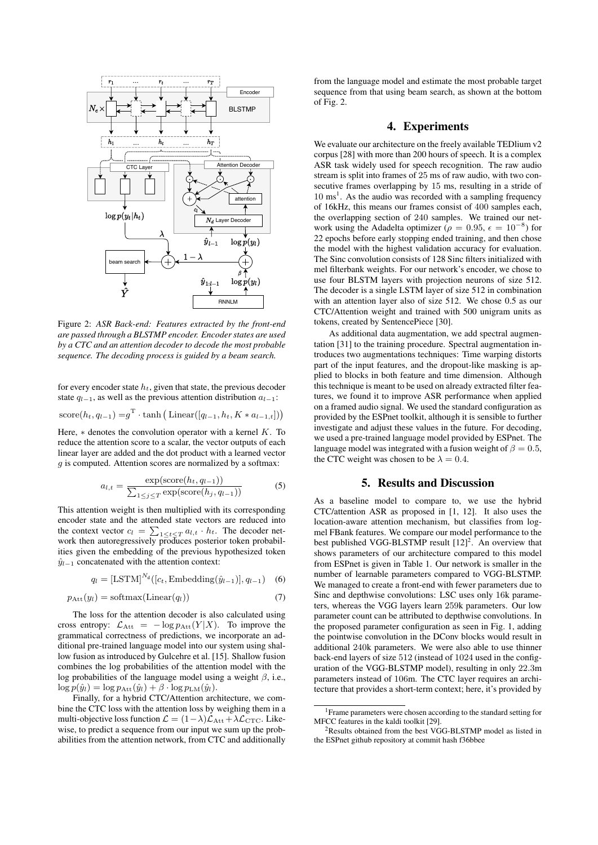

Figure 2: *ASR Back-end: Features extracted by the front-end are passed through a BLSTMP encoder. Encoder states are used by a CTC and an attention decoder to decode the most probable sequence. The decoding process is guided by a beam search.*

for every encoder state  $h_t$ , given that state, the previous decoder state  $q_{l-1}$ , as well as the previous attention distribution  $a_{l-1}$ :

score
$$
(h_t, q_{t-1}) = g^T \cdot \tanh\left(\text{Linear}([q_{t-1}, h_t, K * a_{t-1,t}])\right)
$$

Here,  $*$  denotes the convolution operator with a kernel  $K$ . To reduce the attention score to a scalar, the vector outputs of each linear layer are added and the dot product with a learned vector  $g$  is computed. Attention scores are normalized by a softmax:

$$
a_{l,t} = \frac{\exp(\text{score}(h_t, q_{l-1}))}{\sum_{1 \le j \le T} \exp(\text{score}(h_j, q_{l-1}))}
$$
(5)

This attention weight is then multiplied with its corresponding encoder state and the attended state vectors are reduced into the context vector  $c_l = \sum_{1 \le t \le T} a_{l,t} \cdot h_t$ . The decoder network then autoregressively produces posterior token probabilities given the embedding of the previous hypothesized token  $\hat{y}_{l-1}$  concatenated with the attention context:

$$
q_l = \left[\text{LSTM}\right]^{N_d}([c_t, \text{Embedding}(\hat{y}_{l-1})], q_{l-1}) \quad (6)
$$

$$
p_{\text{Att}}(y_l) = \text{softmax}(\text{Linear}(q_l)) \tag{7}
$$

The loss for the attention decoder is also calculated using cross entropy:  $\mathcal{L}_{\text{Att}} = -\log p_{\text{Att}}(Y|X)$ . To improve the grammatical correctness of predictions, we incorporate an additional pre-trained language model into our system using shallow fusion as introduced by Gulcehre et al. [15]. Shallow fusion combines the log probabilities of the attention model with the log probabilities of the language model using a weight  $\beta$ , i.e.,  $\log p(\hat{y}_l) = \log p_{\text{Att}}(\hat{y}_l) + \beta \cdot \log p_{\text{LM}}(\hat{y}_l).$ 

Finally, for a hybrid CTC/Attention architecture, we combine the CTC loss with the attention loss by weighing them in a multi-objective loss function  $\mathcal{L} = (1 - \lambda)\mathcal{L}_{\text{Att}} + \lambda\mathcal{L}_{\text{CTC}}$ . Likewise, to predict a sequence from our input we sum up the probabilities from the attention network, from CTC and additionally from the language model and estimate the most probable target sequence from that using beam search, as shown at the bottom of Fig. 2.

## 4. Experiments

We evaluate our architecture on the freely available TEDlium v2 corpus [28] with more than 200 hours of speech. It is a complex ASR task widely used for speech recognition. The raw audio stream is split into frames of 25 ms of raw audio, with two consecutive frames overlapping by 15 ms, resulting in a stride of  $10 \text{ ms}^1$ . As the audio was recorded with a sampling frequency of 16kHz, this means our frames consist of 400 samples each, the overlapping section of 240 samples. We trained our network using the Adadelta optimizer ( $\rho = 0.95$ ,  $\epsilon = 10^{-8}$ ) for 22 epochs before early stopping ended training, and then chose the model with the highest validation accuracy for evaluation. The Sinc convolution consists of 128 Sinc filters initialized with mel filterbank weights. For our network's encoder, we chose to use four BLSTM layers with projection neurons of size 512. The decoder is a single LSTM layer of size 512 in combination with an attention layer also of size 512. We chose 0.5 as our CTC/Attention weight and trained with 500 unigram units as tokens, created by SentencePiece [30].

As additional data augmentation, we add spectral augmentation [31] to the training procedure. Spectral augmentation introduces two augmentations techniques: Time warping distorts part of the input features, and the dropout-like masking is applied to blocks in both feature and time dimension. Although this technique is meant to be used on already extracted filter features, we found it to improve ASR performance when applied on a framed audio signal. We used the standard configuration as provided by the ESPnet toolkit, although it is sensible to further investigate and adjust these values in the future. For decoding, we used a pre-trained language model provided by ESPnet. The language model was integrated with a fusion weight of  $\beta = 0.5$ , the CTC weight was chosen to be  $\lambda = 0.4$ .

## 5. Results and Discussion

As a baseline model to compare to, we use the hybrid CTC/attention ASR as proposed in [1, 12]. It also uses the location-aware attention mechanism, but classifies from logmel FBank features. We compare our model performance to the best published VGG-BLSTMP result  $[12]^2$ . An overview that shows parameters of our architecture compared to this model from ESPnet is given in Table 1. Our network is smaller in the number of learnable parameters compared to VGG-BLSTMP. We managed to create a front-end with fewer parameters due to Sinc and depthwise convolutions: LSC uses only 16k parameters, whereas the VGG layers learn 259k parameters. Our low parameter count can be attributed to depthwise convolutions. In the proposed parameter configuration as seen in Fig. 1, adding the pointwise convolution in the DConv blocks would result in additional 240k parameters. We were also able to use thinner back-end layers of size 512 (instead of 1024 used in the configuration of the VGG-BLSTMP model), resulting in only 22.3m parameters instead of 106m. The CTC layer requires an architecture that provides a short-term context; here, it's provided by

<sup>1</sup>Frame parameters were chosen according to the standard setting for MFCC features in the kaldi toolkit [29].

<sup>2</sup>Results obtained from the best VGG-BLSTMP model as listed in the ESPnet github repository at commit hash f36bbee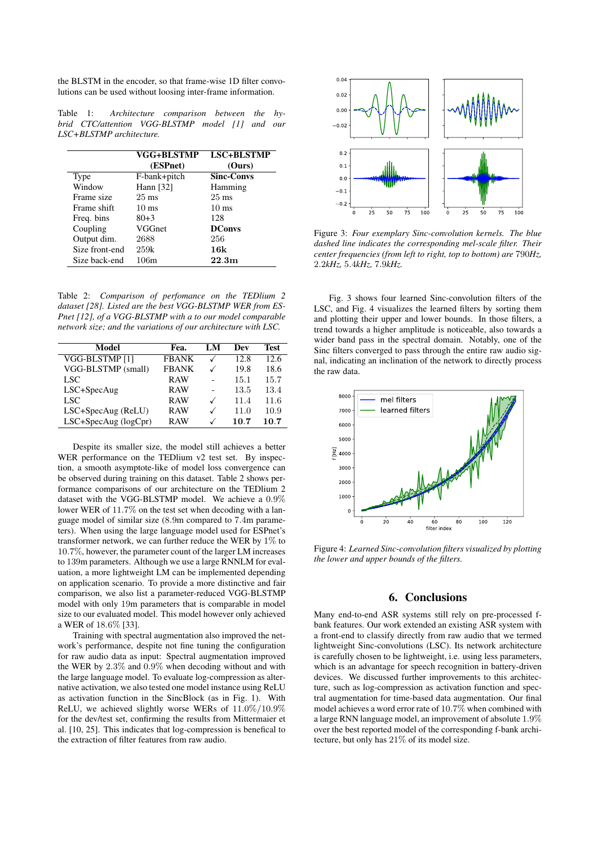the BLSTM in the encoder, so that frame-wise 1D filter convolutions can be used without loosing inter-frame information.

Table 1: *Architecture comparison between the hybrid CTC/attention VGG-BLSTMP model [1] and our LSC+BLSTMP architecture.*

|                | VGG+BLSTMP<br>(ESPnet) | <b>LSC+BLSTMP</b><br>(Ours) |
|----------------|------------------------|-----------------------------|
| Type           | F-bank+pitch           | <b>Sinc-Convs</b>           |
| Window         | Hann $[32]$            | Hamming                     |
| Frame size     | $25 \text{ ms}$        | $25 \text{ ms}$             |
| Frame shift    | $10 \text{ ms}$        | $10 \text{ ms}$             |
| Freq. bins     | $80+3$                 | 128                         |
| Coupling       | VGGnet                 | <b>DConvs</b>               |
| Output dim.    | 2688                   | 256                         |
| Size front-end | 259k                   | 16k                         |
| Size back-end  | 106m                   | 22.3m                       |

Table 2: *Comparison of perfomance on the TEDlium 2 dataset [28]. Listed are the best VGG-BLSTMP WER from ES-Pnet [12], of a VGG-BLSTMP with a to our model comparable network size; and the variations of our architecture with LSC.*

| Model                | Fea.         | LM | Dev  | <b>Test</b> |
|----------------------|--------------|----|------|-------------|
| VGG-BLSTMP [1]       | <b>FBANK</b> |    | 12.8 | 12.6        |
| VGG-BLSTMP (small)   | <b>FRANK</b> |    | 19.8 | 18.6        |
| LSC.                 | <b>RAW</b>   |    | 15.1 | 15.7        |
| $LSC+SpecAug$        | <b>RAW</b>   |    | 13.5 | 13.4        |
| LSC.                 | <b>RAW</b>   | ✓  | 11.4 | 11.6        |
| LSC+SpecAug (ReLU)   | R AW         | ✓  | 11.0 | 10.9        |
| LSC+SpecAug (logCpr) | R AW         |    | 10.7 | 10.7        |

Despite its smaller size, the model still achieves a better WER performance on the TEDlium v2 test set. By inspection, a smooth asymptote-like of model loss convergence can be observed during training on this dataset. Table 2 shows performance comparisons of our architecture on the TEDlium 2 dataset with the VGG-BLSTMP model. We achieve a 0.9% lower WER of 11.7% on the test set when decoding with a language model of similar size (8.9m compared to 7.4m parameters). When using the large language model used for ESPnet's transformer network, we can further reduce the WER by  $1\%$  to 10.7%, however, the parameter count of the larger LM increases to 139m parameters. Although we use a large RNNLM for evaluation, a more lightweight LM can be implemented depending on application scenario. To provide a more distinctive and fair comparison, we also list a parameter-reduced VGG-BLSTMP model with only 19m parameters that is comparable in model size to our evaluated model. This model however only achieved a WER of 18.6% [33].

Training with spectral augmentation also improved the network's performance, despite not fine tuning the configuration for raw audio data as input: Spectral augmentation improved the WER by 2.3% and 0.9% when decoding without and with the large language model. To evaluate log-compression as alternative activation, we also tested one model instance using ReLU as activation function in the SincBlock (as in Fig. 1). With ReLU, we achieved slightly worse WERs of 11.0%/10.9% for the dev/test set, confirming the results from Mittermaier et al. [10, 25]. This indicates that log-compression is benefical to the extraction of filter features from raw audio.



Figure 3: *Four exemplary Sinc-convolution kernels. The blue dashed line indicates the corresponding mel-scale filter. Their center frequencies (from left to right, top to bottom) are* 790*Hz,* 2.2*kHz,* 5.4*kHz,* 7.9*kHz.*

Fig. 3 shows four learned Sinc-convolution filters of the LSC, and Fig. 4 visualizes the learned filters by sorting them and plotting their upper and lower bounds. In those filters, a trend towards a higher amplitude is noticeable, also towards a wider band pass in the spectral domain. Notably, one of the Sinc filters converged to pass through the entire raw audio signal, indicating an inclination of the network to directly process the raw data.



Figure 4: *Learned Sinc-convolution filters visualized by plotting the lower and upper bounds of the filters.*

## 6. Conclusions

Many end-to-end ASR systems still rely on pre-processed fbank features. Our work extended an existing ASR system with a front-end to classify directly from raw audio that we termed lightweight Sinc-convolutions (LSC). Its network architecture is carefully chosen to be lightweight, i.e. using less parameters, which is an advantage for speech recognition in battery-driven devices. We discussed further improvements to this architecture, such as log-compression as activation function and spectral augmentation for time-based data augmentation. Our final model achieves a word error rate of 10.7% when combined with a large RNN language model, an improvement of absolute 1.9% over the best reported model of the corresponding f-bank architecture, but only has 21% of its model size.